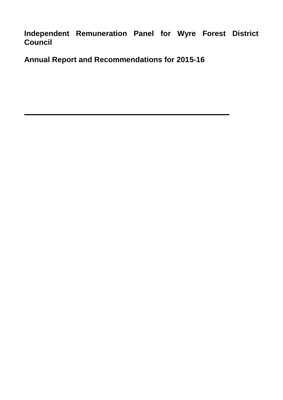**Independent Remuneration Panel for Wyre Forest District Council**

**Annual Report and Recommendations for 2015-16**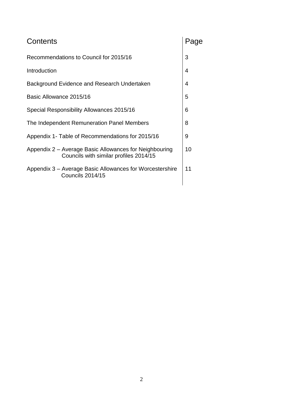| Contents                                                                                         |    |  |  |  |
|--------------------------------------------------------------------------------------------------|----|--|--|--|
| Recommendations to Council for 2015/16                                                           |    |  |  |  |
| Introduction                                                                                     |    |  |  |  |
| Background Evidence and Research Undertaken                                                      | 4  |  |  |  |
| Basic Allowance 2015/16                                                                          | 5  |  |  |  |
| Special Responsibility Allowances 2015/16                                                        |    |  |  |  |
| The Independent Remuneration Panel Members                                                       |    |  |  |  |
| Appendix 1- Table of Recommendations for 2015/16                                                 |    |  |  |  |
| Appendix 2 – Average Basic Allowances for Neighbouring<br>Councils with similar profiles 2014/15 |    |  |  |  |
| Appendix 3 – Average Basic Allowances for Worcestershire<br><b>Councils 2014/15</b>              | 11 |  |  |  |
|                                                                                                  |    |  |  |  |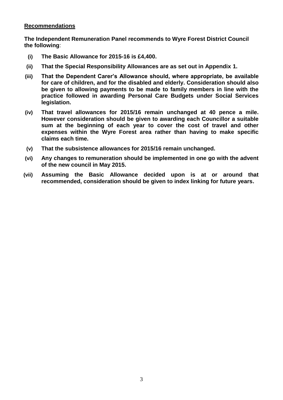#### **Recommendations**

**The Independent Remuneration Panel recommends to Wyre Forest District Council the following**:

- **(i) The Basic Allowance for 2015-16 is £4,400.**
- **(ii) That the Special Responsibility Allowances are as set out in Appendix 1.**
- **(iii) That the Dependent Carer's Allowance should, where appropriate, be available for care of children, and for the disabled and elderly. Consideration should also be given to allowing payments to be made to family members in line with the practice followed in awarding Personal Care Budgets under Social Services legislation.**
- **(iv) That travel allowances for 2015/16 remain unchanged at 40 pence a mile. However consideration should be given to awarding each Councillor a suitable sum at the beginning of each year to cover the cost of travel and other expenses within the Wyre Forest area rather than having to make specific claims each time.**
- **(v) That the subsistence allowances for 2015/16 remain unchanged.**
- **(vi) Any changes to remuneration should be implemented in one go with the advent of the new council in May 2015.**
- **(vii) Assuming the Basic Allowance decided upon is at or around that recommended, consideration should be given to index linking for future years.**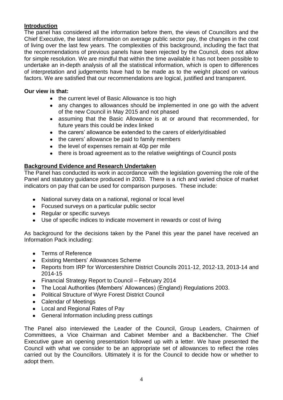# **Introduction**

The panel has considered all the information before them, the views of Councillors and the Chief Executive, the latest information on average public sector pay, the changes in the cost of living over the last few years. The complexities of this background, including the fact that the recommendations of previous panels have been rejected by the Council, does not allow for simple resolution. We are mindful that within the time available it has not been possible to undertake an in-depth analysis of all the statistical information, which is open to differences of interpretation and judgements have had to be made as to the weight placed on various factors. We are satisfied that our recommendations are logical, justified and transparent.

# **Our view is that:**

- the current level of Basic Allowance is too high
- any changes to allowances should be implemented in one go with the advent of the new Council in May 2015 and not phased
- assuming that the Basic Allowance is at or around that recommended, for future years this could be index linked
- the carers' allowance be extended to the carers of elderly/disabled
- the carers' allowance be paid to family members
- the level of expenses remain at 40p per mile
- there is broad agreement as to the relative weightings of Council posts

# **Background Evidence and Research Undertaken**

The Panel has conducted its work in accordance with the legislation governing the role of the Panel and statutory guidance produced in 2003. There is a rich and varied choice of market indicators on pay that can be used for comparison purposes. These include:

- National survey data on a national, regional or local level
- Focused surveys on a particular public sector
- Regular or specific surveys
- Use of specific indices to indicate movement in rewards or cost of living

As background for the decisions taken by the Panel this year the panel have received an Information Pack including:

- Terms of Reference
- Existing Members' Allowances Scheme
- Reports from IRP for Worcestershire District Councils 2011-12, 2012-13, 2013-14 and 2014-15
- Financial Strategy Report to Council February 2014
- The Local Authorities (Members' Allowances) (England) Regulations 2003.
- Political Structure of Wyre Forest District Council
- Calendar of Meetings
- Local and Regional Rates of Pay
- General Information including press cuttings

The Panel also interviewed the Leader of the Council, Group Leaders, Chairmen of Committees, a Vice Chairman and Cabinet Member and a Backbencher. The Chief Executive gave an opening presentation followed up with a letter. We have presented the Council with what we consider to be an appropriate set of allowances to reflect the roles carried out by the Councillors. Ultimately it is for the Council to decide how or whether to adopt them.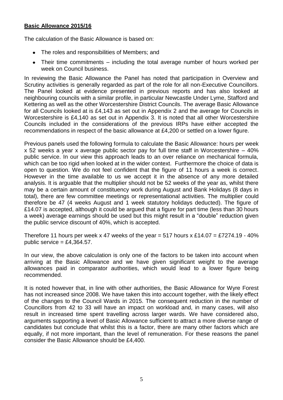# **Basic Allowance 2015/16**

The calculation of the Basic Allowance is based on:

- The roles and responsibilities of Members; and
- Their time commitments including the total average number of hours worked per week on Council business.

In reviewing the Basic Allowance the Panel has noted that participation in Overview and Scrutiny activities is generally regarded as part of the role for all non-Executive Councillors. The Panel looked at evidence presented in previous reports and has also looked at neighbouring councils with a similar profile, in particular Newcastle Under Lyme, Stafford and Kettering as well as the other Worcestershire District Councils. The average Basic Allowance for all Councils looked at is £4,143 as set out in Appendix 2 and the average for Councils in Worcestershire is £4,140 as set out in Appendix 3. It is noted that all other Worcestershire Councils included in the considerations of the previous IRPs have either accepted the recommendations in respect of the basic allowance at £4,200 or settled on a lower figure.

Previous panels used the following formula to calculate the Basic Allowance: hours per week x 52 weeks a year x average public sector pay for full time staff in Worcestershire – 40% public service. In our view this approach leads to an over reliance on mechanical formula, which can be too rigid when looked at in the wider context. Furthermore the choice of data is open to question. We do not feel confident that the figure of 11 hours a week is correct. However in the time available to us we accept it in the absence of any more detailed analysis. It is arguable that the multiplier should not be 52 weeks of the year as, whilst there may be a certain amount of constituency work during August and Bank Holidays (8 days in total), there are few committee meetings or representational activities. The multiplier could therefore be 47 (4 weeks August and 1 week statutory holidays deducted). The figure of £14.07 is accepted, although it could be argued that a figure for part time (less than 30 hours a week) average earnings should be used but this might result in a "double" reduction given the public service discount of 40%, which is accepted.

Therefore 11 hours per week x 47 weeks of the year = 517 hours x £14.07 = £7274.19 - 40% public service  $= \text{\pounds}4,364.57$ .

In our view, the above calculation is only one of the factors to be taken into account when arriving at the Basic Allowance and we have given significant weight to the average allowances paid in comparator authorities, which would lead to a lower figure being recommended.

It is noted however that, in line with other authorities, the Basic Allowance for Wyre Forest has not increased since 2008. We have taken this into account together, with the likely effect of the changes to the Council Wards in 2015. The consequent reduction in the number of Councillors from 42 to 33 will have an impact on workload and, in many cases, will also result in increased time spent travelling across larger wards. We have considered also, arguments supporting a level of Basic Allowance sufficient to attract a more diverse range of candidates but conclude that whilst this is a factor, there are many other factors which are equally, if not more important, than the level of remuneration. For these reasons the panel consider the Basic Allowance should be £4,400.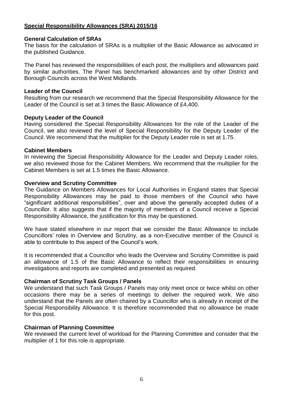# **Special Responsibility Allowances (SRA) 2015/16**

### **General Calculation of SRAs**

The basis for the calculation of SRAs is a multiplier of the Basic Allowance as advocated in the published Guidance.

The Panel has reviewed the responsibilities of each post, the multipliers and allowances paid by similar authorities. The Panel has benchmarked allowances and by other District and Borough Councils across the West Midlands.

#### **Leader of the Council**

Resulting from our research we recommend that the Special Responsibility Allowance for the Leader of the Council is set at 3 times the Basic Allowance of £4,400.

#### **Deputy Leader of the Council**

Having considered the Special Responsibility Allowances for the role of the Leader of the Council, we also reviewed the level of Special Responsibility for the Deputy Leader of the Council. We recommend that the multiplier for the Deputy Leader role is set at 1.75.

#### **Cabinet Members**

In reviewing the Special Responsibility Allowance for the Leader and Deputy Leader roles, we also reviewed those for the Cabinet Members. We recommend that the multiplier for the Cabinet Members is set at 1.5 times the Basic Allowance.

#### **Overview and Scrutiny Committee**

The Guidance on Members Allowances for Local Authorities in England states that Special Responsibility Allowances may be paid to those members of the Council who have "significant additional responsibilities", over and above the generally accepted duties of a Councillor. It also suggests that if the majority of members of a Council receive a Special Responsibility Allowance, the justification for this may be questioned.

We have stated elsewhere in our report that we consider the Basic Allowance to include Councillors' roles in Overview and Scrutiny, as a non-Executive member of the Council is able to contribute to this aspect of the Council's work.

It is recommended that a Councillor who leads the Overview and Scrutiny Committee is paid an allowance of 1.5 of the Basic Allowance to reflect their responsibilities in ensuring investigations and reports are completed and presented as required.

# **Chairman of Scrutiny Task Groups / Panels**

We understand that such Task Groups / Panels may only meet once or twice whilst on other occasions there may be a series of meetings to deliver the required work. We also understand that the Panels are often chaired by a Councillor who is already in receipt of the Special Responsibility Allowance. It is therefore recommended that no allowance be made for this post.

#### **Chairman of Planning Committee**

We reviewed the current level of workload for the Planning Committee and consider that the multiplier of 1 for this role is appropriate.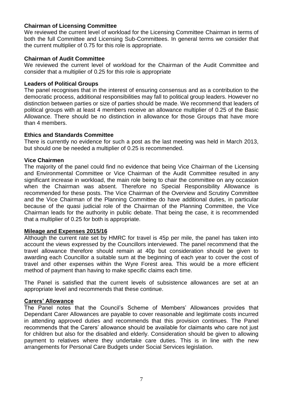## **Chairman of Licensing Committee**

We reviewed the current level of workload for the Licensing Committee Chairman in terms of both the full Committee and Licensing Sub-Committees. In general terms we consider that the current multiplier of 0.75 for this role is appropriate.

#### **Chairman of Audit Committee**

We reviewed the current level of workload for the Chairman of the Audit Committee and consider that a multiplier of 0.25 for this role is appropriate

#### **Leaders of Political Groups**

The panel recognises that in the interest of ensuring consensus and as a contribution to the democratic process, additional responsibilities may fall to political group leaders. However no distinction between parties or size of parties should be made. We recommend that leaders of political groups with at least 4 members receive an allowance multiplier of 0.25 of the Basic Allowance. There should be no distinction in allowance for those Groups that have more than 4 members.

#### **Ethics and Standards Committee**

There is currently no evidence for such a post as the last meeting was held in March 2013, but should one be needed a multiplier of 0.25 is recommended.

#### **Vice Chairmen**

The majority of the panel could find no evidence that being Vice Chairman of the Licensing and Environmental Committee or Vice Chairman of the Audit Committee resulted in any significant increase in workload, the main role being to chair the committee on any occasion when the Chairman was absent. Therefore no Special Responsibility Allowance is recommended for these posts. The Vice Chairman of the Overview and Scrutiny Committee and the Vice Chairman of the Planning Committee do have additional duties, in particular because of the quasi judicial role of the Chairman of the Planning Committee, the Vice Chairman leads for the authority in public debate. That being the case, it is recommended that a multiplier of 0.25 for both is appropriate.

#### **Mileage and Expenses 2015/16**

Although the current rate set by HMRC for travel is 45p per mile, the panel has taken into account the views expressed by the Councillors interviewed. The panel recommend that the travel allowance therefore should remain at 40p but consideration should be given to awarding each Councillor a suitable sum at the beginning of each year to cover the cost of travel and other expenses within the Wyre Forest area. This would be a more efficient method of payment than having to make specific claims each time.

The Panel is satisfied that the current levels of subsistence allowances are set at an appropriate level and recommends that these continue.

#### **Carers' Allowance**

The Panel notes that the Council's Scheme of Members' Allowances provides that Dependant Carer Allowances are payable to cover reasonable and legitimate costs incurred in attending approved duties and recommends that this provision continues. The Panel recommends that the Carers' allowance should be available for claimants who care not just for children but also for the disabled and elderly. Consideration should be given to allowing payment to relatives where they undertake care duties. This is in line with the new arrangements for Personal Care Budgets under Social Services legislation.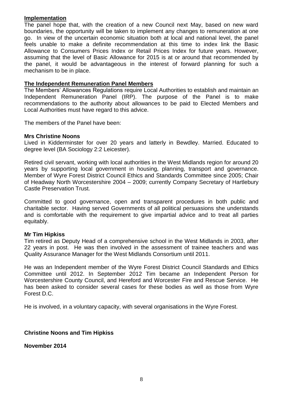# **Implementation**

The panel hope that, with the creation of a new Council next May, based on new ward boundaries, the opportunity will be taken to implement any changes to remuneration at one go. In view of the uncertain economic situation both at local and national level, the panel feels unable to make a definite recommendation at this time to index link the Basic Allowance to Consumers Prices Index or Retail Prices Index for future years. However, assuming that the level of Basic Allowance for 2015 is at or around that recommended by the panel, it would be advantageous in the interest of forward planning for such a mechanism to be in place.

## **The Independent Remuneration Panel Members**

The Members' Allowances Regulations require Local Authorities to establish and maintain an Independent Remuneration Panel (IRP). The purpose of the Panel is to make recommendations to the authority about allowances to be paid to Elected Members and Local Authorities must have regard to this advice.

The members of the Panel have been:

#### **Mrs Christine Noons**

Lived in Kidderminster for over 20 years and latterly in Bewdley. Married. Educated to degree level (BA Sociology 2:2 Leicester).

Retired civil servant, working with local authorities in the West Midlands region for around 20 years by supporting local government in housing, planning, transport and governance. Member of Wyre Forest District Council Ethics and Standards Committee since 2005; Chair of Headway North Worcestershire 2004 – 2009; currently Company Secretary of Hartlebury Castle Preservation Trust.

Committed to good governance, open and transparent procedures in both public and charitable sector. Having served Governments of all political persuasions she understands and is comfortable with the requirement to give impartial advice and to treat all parties equitably.

#### **Mr Tim Hipkiss**

Tim retired as Deputy Head of a comprehensive school in the West Midlands in 2003, after 22 years in post. He was then involved in the assessment of trainee teachers and was Quality Assurance Manager for the West Midlands Consortium until 2011.

He was an Independent member of the Wyre Forest District Council Standards and Ethics Committee until 2012. In September 2012 Tim became an Independent Person for Worcestershire County Council, and Hereford and Worcester Fire and Rescue Service. He has been asked to consider several cases for these bodies as well as those from Wyre Forest D.C.

He is involved, in a voluntary capacity, with several organisations in the Wyre Forest.

# **Christine Noons and Tim Hipkiss**

**November 2014**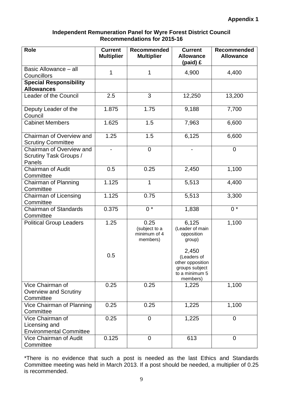# **Independent Remuneration Panel for Wyre Forest District Council Recommendations for 2015-16**

| <b>Role</b>                                                         | <b>Current</b><br><b>Multiplier</b> | Recommended<br><b>Multiplier</b>                  | <b>Current</b><br><b>Allowance</b><br>(paid) £                                  | Recommended<br><b>Allowance</b> |
|---------------------------------------------------------------------|-------------------------------------|---------------------------------------------------|---------------------------------------------------------------------------------|---------------------------------|
| Basic Allowance - all<br>Councillors                                | 1                                   | 1                                                 | 4,900                                                                           | 4,400                           |
| <b>Special Responsibility</b><br><b>Allowances</b>                  |                                     |                                                   |                                                                                 |                                 |
| Leader of the Council                                               | 2.5                                 | 3                                                 | 12,250                                                                          | 13,200                          |
| Deputy Leader of the<br>Council                                     | 1.875                               | 1.75                                              | 9,188                                                                           | 7,700                           |
| <b>Cabinet Members</b>                                              | 1.625                               | 1.5                                               | 7,963                                                                           | 6,600                           |
| Chairman of Overview and<br><b>Scrutiny Committee</b>               | 1.25                                | 1.5                                               | 6,125                                                                           | 6,600                           |
| Chairman of Overview and<br>Scrutiny Task Groups /<br>Panels        | $\qquad \qquad \blacksquare$        | $\overline{0}$                                    |                                                                                 | $\overline{0}$                  |
| <b>Chairman of Audit</b><br>Committee                               | 0.5                                 | 0.25                                              | 2,450                                                                           | 1,100                           |
| Chairman of Planning<br>Committee                                   | 1.125                               | 1                                                 | 5,513                                                                           | 4,400                           |
| Chairman of Licensing<br>Committee                                  | 1.125                               | 0.75                                              | 5,513                                                                           | 3,300                           |
| <b>Chairman of Standards</b><br>Committee                           | 0.375                               | $0 *$                                             | 1,838                                                                           | $0 *$                           |
| <b>Political Group Leaders</b>                                      | 1.25                                | 0.25<br>(subject to a<br>minimum of 4<br>members) | 6,125<br>(Leader of main<br>opposition<br>group)<br>2,450                       | 1,100                           |
|                                                                     | 0.5                                 |                                                   | (Leaders of<br>other opposition<br>groups subject<br>to a minimum 5<br>members) |                                 |
| Vice Chairman of<br><b>Overview and Scrutiny</b><br>Committee       | 0.25                                | 0.25                                              | 1,225                                                                           | 1,100                           |
| Vice Chairman of Planning<br>Committee                              | 0.25                                | 0.25                                              | 1,225                                                                           | 1,100                           |
| Vice Chairman of<br>Licensing and<br><b>Environmental Committee</b> | 0.25                                | $\overline{0}$                                    | 1,225                                                                           | $\overline{0}$                  |
| <b>Vice Chairman of Audit</b><br>Committee                          | 0.125                               | $\overline{0}$                                    | 613                                                                             | $\overline{0}$                  |

\*There is no evidence that such a post is needed as the last Ethics and Standards Committee meeting was held in March 2013. If a post should be needed, a multiplier of 0.25 is recommended.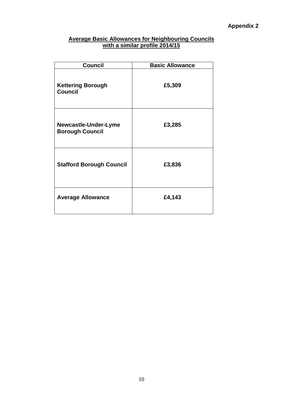# **Average Basic Allowances for Neighbouring Councils with a similar profile 2014/15**

| <b>Council</b>                                 | <b>Basic Allowance</b> |
|------------------------------------------------|------------------------|
| <b>Kettering Borough</b><br><b>Council</b>     | £5,309                 |
| Newcastle-Under-Lyme<br><b>Borough Council</b> | £3,285                 |
| <b>Stafford Borough Council</b>                | £3,836                 |
| <b>Average Allowance</b>                       | £4,143                 |